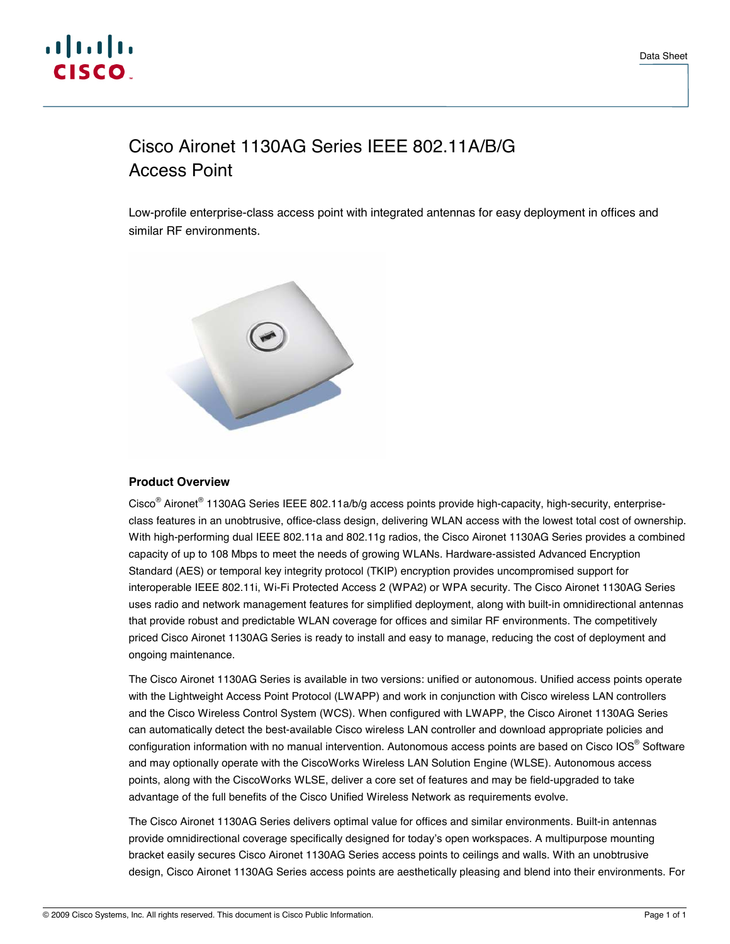

# Cisco Aironet 1130AG Series IEEE 802.11A/B/G Access Point

Low-profile enterprise-class access point with integrated antennas for easy deployment in offices and similar RF environments.



## **Product Overview**

Cisco<sup>®</sup> Aironet<sup>®</sup> 1130AG Series IEEE 802.11a/b/g access points provide high-capacity, high-security, enterpriseclass features in an unobtrusive, office-class design, delivering WLAN access with the lowest total cost of ownership. With high-performing dual IEEE 802.11a and 802.11g radios, the Cisco Aironet 1130AG Series provides a combined capacity of up to 108 Mbps to meet the needs of growing WLANs. Hardware-assisted Advanced Encryption Standard (AES) or temporal key integrity protocol (TKIP) encryption provides uncompromised support for interoperable IEEE 802.11i, Wi-Fi Protected Access 2 (WPA2) or WPA security. The Cisco Aironet 1130AG Series uses radio and network management features for simplified deployment, along with built-in omnidirectional antennas that provide robust and predictable WLAN coverage for offices and similar RF environments. The competitively priced Cisco Aironet 1130AG Series is ready to install and easy to manage, reducing the cost of deployment and ongoing maintenance.

The Cisco Aironet 1130AG Series is available in two versions: unified or autonomous. Unified access points operate with the Lightweight Access Point Protocol (LWAPP) and work in conjunction with Cisco wireless LAN controllers and the Cisco Wireless Control System (WCS). When configured with LWAPP, the Cisco Aironet 1130AG Series can automatically detect the best-available Cisco wireless LAN controller and download appropriate policies and configuration information with no manual intervention. Autonomous access points are based on Cisco IOS® Software and may optionally operate with the CiscoWorks Wireless LAN Solution Engine (WLSE). Autonomous access points, along with the CiscoWorks WLSE, deliver a core set of features and may be field-upgraded to take advantage of the full benefits of the Cisco Unified Wireless Network as requirements evolve.

The Cisco Aironet 1130AG Series delivers optimal value for offices and similar environments. Built-in antennas provide omnidirectional coverage specifically designed for today's open workspaces. A multipurpose mounting bracket easily secures Cisco Aironet 1130AG Series access points to ceilings and walls. With an unobtrusive design, Cisco Aironet 1130AG Series access points are aesthetically pleasing and blend into their environments. For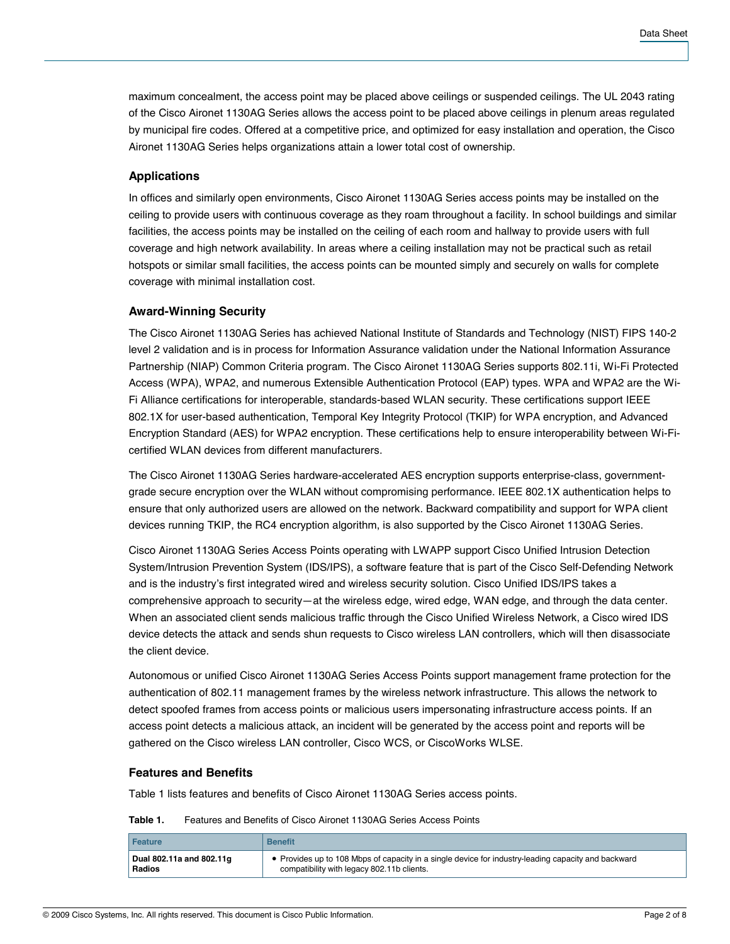maximum concealment, the access point may be placed above ceilings or suspended ceilings. The UL 2043 rating of the Cisco Aironet 1130AG Series allows the access point to be placed above ceilings in plenum areas regulated by municipal fire codes. Offered at a competitive price, and optimized for easy installation and operation, the Cisco Aironet 1130AG Series helps organizations attain a lower total cost of ownership.

### **Applications**

In offices and similarly open environments, Cisco Aironet 1130AG Series access points may be installed on the ceiling to provide users with continuous coverage as they roam throughout a facility. In school buildings and similar facilities, the access points may be installed on the ceiling of each room and hallway to provide users with full coverage and high network availability. In areas where a ceiling installation may not be practical such as retail hotspots or similar small facilities, the access points can be mounted simply and securely on walls for complete coverage with minimal installation cost.

#### **Award-Winning Security**

The Cisco Aironet 1130AG Series has achieved National Institute of Standards and Technology (NIST) FIPS 140-2 level 2 validation and is in process for Information Assurance validation under the National Information Assurance Partnership (NIAP) Common Criteria program. The Cisco Aironet 1130AG Series supports 802.11i, Wi-Fi Protected Access (WPA), WPA2, and numerous Extensible Authentication Protocol (EAP) types. WPA and WPA2 are the Wi-Fi Alliance certifications for interoperable, standards-based WLAN security. These certifications support IEEE 802.1X for user-based authentication, Temporal Key Integrity Protocol (TKIP) for WPA encryption, and Advanced Encryption Standard (AES) for WPA2 encryption. These certifications help to ensure interoperability between Wi-Ficertified WLAN devices from different manufacturers.

The Cisco Aironet 1130AG Series hardware-accelerated AES encryption supports enterprise-class, governmentgrade secure encryption over the WLAN without compromising performance. IEEE 802.1X authentication helps to ensure that only authorized users are allowed on the network. Backward compatibility and support for WPA client devices running TKIP, the RC4 encryption algorithm, is also supported by the Cisco Aironet 1130AG Series.

Cisco Aironet 1130AG Series Access Points operating with LWAPP support Cisco Unified Intrusion Detection System/Intrusion Prevention System (IDS/IPS), a software feature that is part of the Cisco Self-Defending Network and is the industry's first integrated wired and wireless security solution. Cisco Unified IDS/IPS takes a comprehensive approach to security—at the wireless edge, wired edge, WAN edge, and through the data center. When an associated client sends malicious traffic through the Cisco Unified Wireless Network, a Cisco wired IDS device detects the attack and sends shun requests to Cisco wireless LAN controllers, which will then disassociate the client device.

Autonomous or unified Cisco Aironet 1130AG Series Access Points support management frame protection for the authentication of 802.11 management frames by the wireless network infrastructure. This allows the network to detect spoofed frames from access points or malicious users impersonating infrastructure access points. If an access point detects a malicious attack, an incident will be generated by the access point and reports will be gathered on the Cisco wireless LAN controller, Cisco WCS, or CiscoWorks WLSE.

#### **Features and Benefits**

Table 1 lists features and benefits of Cisco Aironet 1130AG Series access points.

**Table 1.** Features and Benefits of Cisco Aironet 1130AG Series Access Points

| Feature                  | <b>Benefit</b>                                                                                      |
|--------------------------|-----------------------------------------------------------------------------------------------------|
| Dual 802.11a and 802.11g | • Provides up to 108 Mbps of capacity in a single device for industry-leading capacity and backward |
| Radios                   | compatibility with legacy 802.11b clients.                                                          |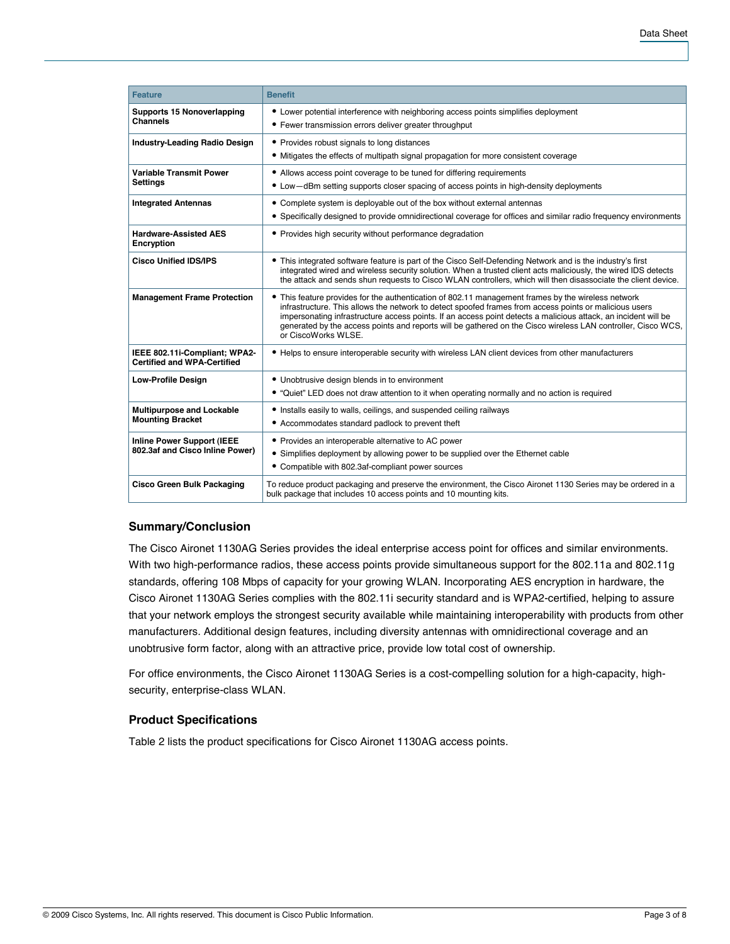| <b>Feature</b>                                                       | <b>Benefit</b>                                                                                                                                                                                                                                                                                                                                                                                                                                                      |  |  |  |  |
|----------------------------------------------------------------------|---------------------------------------------------------------------------------------------------------------------------------------------------------------------------------------------------------------------------------------------------------------------------------------------------------------------------------------------------------------------------------------------------------------------------------------------------------------------|--|--|--|--|
| <b>Supports 15 Nonoverlapping</b><br><b>Channels</b>                 | • Lower potential interference with neighboring access points simplifies deployment<br>• Fewer transmission errors deliver greater throughput<br>• Provides robust signals to long distances<br>• Mitigates the effects of multipath signal propagation for more consistent coverage                                                                                                                                                                                |  |  |  |  |
| <b>Industry-Leading Radio Design</b>                                 |                                                                                                                                                                                                                                                                                                                                                                                                                                                                     |  |  |  |  |
| <b>Variable Transmit Power</b><br><b>Settings</b>                    | • Allows access point coverage to be tuned for differing requirements<br>• Low-dBm setting supports closer spacing of access points in high-density deployments                                                                                                                                                                                                                                                                                                     |  |  |  |  |
| <b>Integrated Antennas</b>                                           | • Complete system is deployable out of the box without external antennas<br>• Specifically designed to provide omnidirectional coverage for offices and similar radio frequency environments                                                                                                                                                                                                                                                                        |  |  |  |  |
| <b>Hardware-Assisted AES</b><br>Encryption                           | • Provides high security without performance degradation                                                                                                                                                                                                                                                                                                                                                                                                            |  |  |  |  |
| <b>Cisco Unified IDS/IPS</b>                                         | • This integrated software feature is part of the Cisco Self-Defending Network and is the industry's first<br>integrated wired and wireless security solution. When a trusted client acts maliciously, the wired IDS detects<br>the attack and sends shun requests to Cisco WLAN controllers, which will then disassociate the client device.                                                                                                                       |  |  |  |  |
| <b>Management Frame Protection</b>                                   | This feature provides for the authentication of 802.11 management frames by the wireless network<br>infrastructure. This allows the network to detect spoofed frames from access points or malicious users<br>impersonating infrastructure access points. If an access point detects a malicious attack, an incident will be<br>generated by the access points and reports will be gathered on the Cisco wireless LAN controller, Cisco WCS,<br>or CiscoWorks WLSE. |  |  |  |  |
| IEEE 802.11i-Compliant; WPA2-<br><b>Certified and WPA-Certified</b>  | • Helps to ensure interoperable security with wireless LAN client devices from other manufacturers                                                                                                                                                                                                                                                                                                                                                                  |  |  |  |  |
| <b>Low-Profile Design</b>                                            | • Unobtrusive design blends in to environment<br>• "Quiet" LED does not draw attention to it when operating normally and no action is required                                                                                                                                                                                                                                                                                                                      |  |  |  |  |
| <b>Multipurpose and Lockable</b><br><b>Mounting Bracket</b>          | • Installs easily to walls, ceilings, and suspended ceiling railways<br>• Accommodates standard padlock to prevent theft                                                                                                                                                                                                                                                                                                                                            |  |  |  |  |
| <b>Inline Power Support (IEEE</b><br>802.3af and Cisco Inline Power) | • Provides an interoperable alternative to AC power<br>• Simplifies deployment by allowing power to be supplied over the Ethernet cable<br>• Compatible with 802.3af-compliant power sources                                                                                                                                                                                                                                                                        |  |  |  |  |
| <b>Cisco Green Bulk Packaging</b>                                    | To reduce product packaging and preserve the environment, the Cisco Aironet 1130 Series may be ordered in a<br>bulk package that includes 10 access points and 10 mounting kits.                                                                                                                                                                                                                                                                                    |  |  |  |  |

## **Summary/Conclusion**

The Cisco Aironet 1130AG Series provides the ideal enterprise access point for offices and similar environments. With two high-performance radios, these access points provide simultaneous support for the 802.11a and 802.11g standards, offering 108 Mbps of capacity for your growing WLAN. Incorporating AES encryption in hardware, the Cisco Aironet 1130AG Series complies with the 802.11i security standard and is WPA2-certified, helping to assure that your network employs the strongest security available while maintaining interoperability with products from other manufacturers. Additional design features, including diversity antennas with omnidirectional coverage and an unobtrusive form factor, along with an attractive price, provide low total cost of ownership.

For office environments, the Cisco Aironet 1130AG Series is a cost-compelling solution for a high-capacity, highsecurity, enterprise-class WLAN.

#### **Product Specifications**

Table 2 lists the product specifications for Cisco Aironet 1130AG access points.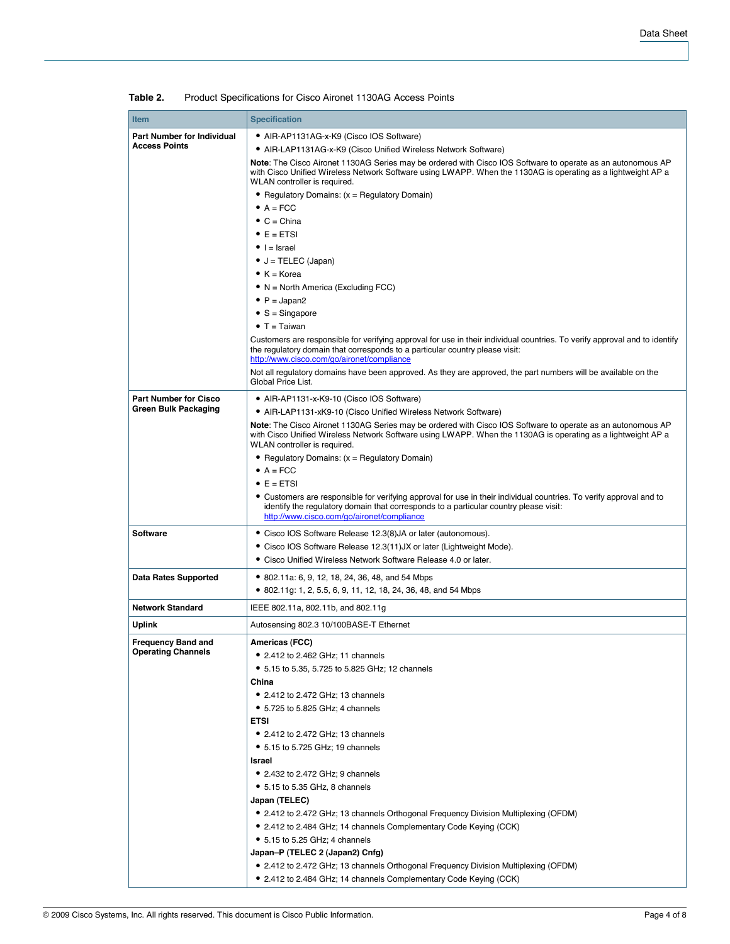| <b>Item</b>                                     | <b>Specification</b>                                                                                                                                                                                                                                        |  |  |  |  |
|-------------------------------------------------|-------------------------------------------------------------------------------------------------------------------------------------------------------------------------------------------------------------------------------------------------------------|--|--|--|--|
| <b>Part Number for Individual</b>               | • AIR-AP1131AG-x-K9 (Cisco IOS Software)                                                                                                                                                                                                                    |  |  |  |  |
| <b>Access Points</b>                            | • AIR-LAP1131AG-x-K9 (Cisco Unified Wireless Network Software)                                                                                                                                                                                              |  |  |  |  |
|                                                 | Note: The Cisco Aironet 1130AG Series may be ordered with Cisco IOS Software to operate as an autonomous AP<br>with Cisco Unified Wireless Network Software using LWAPP. When the 1130AG is operating as a lightweight AP a<br>WLAN controller is required. |  |  |  |  |
|                                                 | • Regulatory Domains: $(x = \text{Required}$ Domain)                                                                                                                                                                                                        |  |  |  |  |
|                                                 | $A = FCC$                                                                                                                                                                                                                                                   |  |  |  |  |
|                                                 | $\bullet$ C = China                                                                                                                                                                                                                                         |  |  |  |  |
|                                                 | $\bullet$ E = ETSI                                                                                                                                                                                                                                          |  |  |  |  |
|                                                 | $\bullet$   =  srael                                                                                                                                                                                                                                        |  |  |  |  |
|                                                 | $\bullet$ J = TELEC (Japan)                                                                                                                                                                                                                                 |  |  |  |  |
|                                                 | $\bullet$ K = Korea                                                                                                                                                                                                                                         |  |  |  |  |
|                                                 | $\bullet$ N = North America (Excluding FCC)                                                                                                                                                                                                                 |  |  |  |  |
|                                                 | $\bullet$ P = Japan2                                                                                                                                                                                                                                        |  |  |  |  |
|                                                 | $\bullet$ S = Singapore                                                                                                                                                                                                                                     |  |  |  |  |
|                                                 | $\bullet$ T = Taiwan                                                                                                                                                                                                                                        |  |  |  |  |
|                                                 | Customers are responsible for verifying approval for use in their individual countries. To verify approval and to identify<br>the regulatory domain that corresponds to a particular country please visit:<br>http://www.cisco.com/go/aironet/compliance    |  |  |  |  |
|                                                 | Not all regulatory domains have been approved. As they are approved, the part numbers will be available on the<br>Global Price List.                                                                                                                        |  |  |  |  |
| <b>Part Number for Cisco</b>                    | • AIR-AP1131-x-K9-10 (Cisco IOS Software)                                                                                                                                                                                                                   |  |  |  |  |
| Green Bulk Packaging                            | • AIR-LAP1131-xK9-10 (Cisco Unified Wireless Network Software)                                                                                                                                                                                              |  |  |  |  |
|                                                 | Note: The Cisco Aironet 1130AG Series may be ordered with Cisco IOS Software to operate as an autonomous AP<br>with Cisco Unified Wireless Network Software using LWAPP. When the 1130AG is operating as a lightweight AP a<br>WLAN controller is required. |  |  |  |  |
|                                                 | • Regulatory Domains: (x = Regulatory Domain)                                                                                                                                                                                                               |  |  |  |  |
|                                                 | $\bullet$ A = FCC                                                                                                                                                                                                                                           |  |  |  |  |
|                                                 | $\bullet$ E = ETSI                                                                                                                                                                                                                                          |  |  |  |  |
|                                                 | • Customers are responsible for verifying approval for use in their individual countries. To verify approval and to<br>identify the regulatory domain that corresponds to a particular country please visit:<br>http://www.cisco.com/go/aironet/compliance  |  |  |  |  |
| Software                                        | • Cisco IOS Software Release 12.3(8) JA or later (autonomous).                                                                                                                                                                                              |  |  |  |  |
|                                                 | • Cisco IOS Software Release 12.3(11) JX or later (Lightweight Mode).                                                                                                                                                                                       |  |  |  |  |
|                                                 | • Cisco Unified Wireless Network Software Release 4.0 or later.                                                                                                                                                                                             |  |  |  |  |
| <b>Data Rates Supported</b>                     | • 802.11a: 6, 9, 12, 18, 24, 36, 48, and 54 Mbps                                                                                                                                                                                                            |  |  |  |  |
|                                                 | • 802.11g: 1, 2, 5.5, 6, 9, 11, 12, 18, 24, 36, 48, and 54 Mbps                                                                                                                                                                                             |  |  |  |  |
| <b>Network Standard</b>                         | IEEE 802.11a, 802.11b, and 802.11g                                                                                                                                                                                                                          |  |  |  |  |
| Uplink                                          | Autosensing 802.3 10/100BASE-T Ethernet                                                                                                                                                                                                                     |  |  |  |  |
|                                                 |                                                                                                                                                                                                                                                             |  |  |  |  |
| Frequency Band and<br><b>Operating Channels</b> | Americas (FCC)<br>• 2.412 to 2.462 GHz; 11 channels                                                                                                                                                                                                         |  |  |  |  |
|                                                 | • 5.15 to 5.35, 5.725 to 5.825 GHz; 12 channels                                                                                                                                                                                                             |  |  |  |  |
|                                                 | China                                                                                                                                                                                                                                                       |  |  |  |  |
|                                                 | • 2.412 to 2.472 GHz; 13 channels                                                                                                                                                                                                                           |  |  |  |  |
|                                                 | • 5.725 to 5.825 GHz; 4 channels                                                                                                                                                                                                                            |  |  |  |  |
|                                                 | <b>ETSI</b>                                                                                                                                                                                                                                                 |  |  |  |  |
|                                                 | • 2.412 to 2.472 GHz; 13 channels                                                                                                                                                                                                                           |  |  |  |  |
|                                                 | • 5.15 to 5.725 GHz; 19 channels                                                                                                                                                                                                                            |  |  |  |  |
|                                                 | Israel                                                                                                                                                                                                                                                      |  |  |  |  |
|                                                 | • 2.432 to 2.472 GHz; 9 channels                                                                                                                                                                                                                            |  |  |  |  |
|                                                 | • 5.15 to 5.35 GHz, 8 channels                                                                                                                                                                                                                              |  |  |  |  |
|                                                 | Japan (TELEC)                                                                                                                                                                                                                                               |  |  |  |  |
|                                                 | • 2.412 to 2.472 GHz; 13 channels Orthogonal Frequency Division Multiplexing (OFDM)                                                                                                                                                                         |  |  |  |  |
|                                                 | • 2.412 to 2.484 GHz; 14 channels Complementary Code Keying (CCK)                                                                                                                                                                                           |  |  |  |  |
|                                                 | • 5.15 to 5.25 GHz; 4 channels                                                                                                                                                                                                                              |  |  |  |  |
|                                                 | Japan-P (TELEC 2 (Japan2) Cnfg)                                                                                                                                                                                                                             |  |  |  |  |
|                                                 | • 2.412 to 2.472 GHz; 13 channels Orthogonal Frequency Division Multiplexing (OFDM)                                                                                                                                                                         |  |  |  |  |
|                                                 | • 2.412 to 2.484 GHz; 14 channels Complementary Code Keying (CCK)                                                                                                                                                                                           |  |  |  |  |

**Table 2.** Product Specifications for Cisco Aironet 1130AG Access Points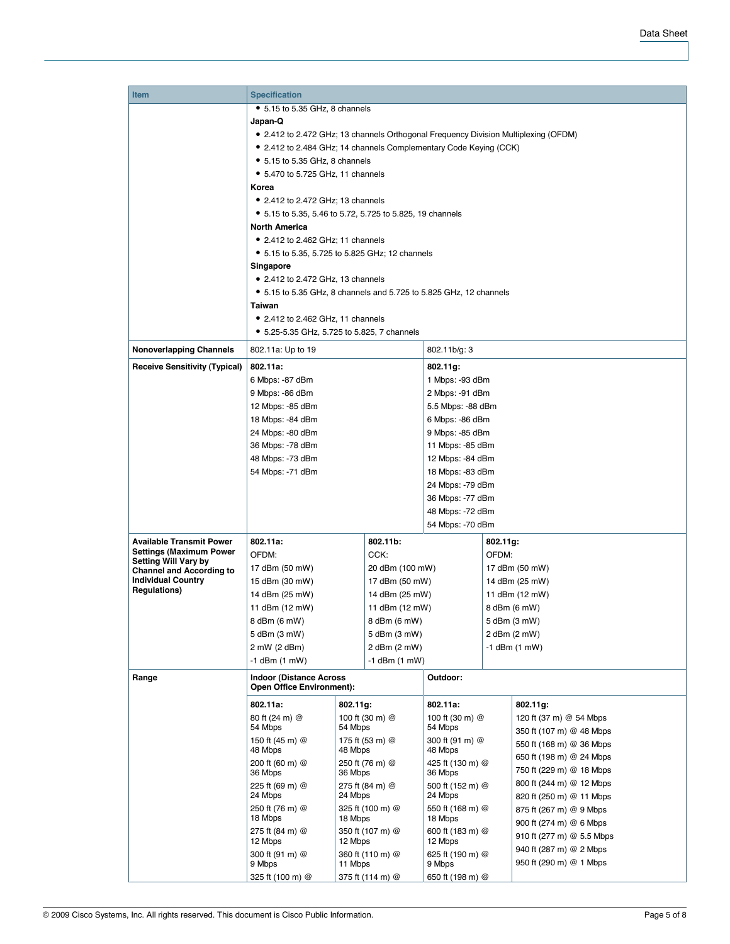| <b>Item</b>                                                    | <b>Specification</b>                                                                            |                                                                                  |                  |                            |                   |                           |  |
|----------------------------------------------------------------|-------------------------------------------------------------------------------------------------|----------------------------------------------------------------------------------|------------------|----------------------------|-------------------|---------------------------|--|
|                                                                | • 5.15 to 5.35 GHz, 8 channels                                                                  |                                                                                  |                  |                            |                   |                           |  |
|                                                                | Japan-Q                                                                                         |                                                                                  |                  |                            |                   |                           |  |
|                                                                | • 2.412 to 2.472 GHz; 13 channels Orthogonal Frequency Division Multiplexing (OFDM)             |                                                                                  |                  |                            |                   |                           |  |
|                                                                | • 2.412 to 2.484 GHz; 14 channels Complementary Code Keying (CCK)                               |                                                                                  |                  |                            |                   |                           |  |
|                                                                | • 5.15 to 5.35 GHz, 8 channels                                                                  |                                                                                  |                  |                            |                   |                           |  |
|                                                                | • 5.470 to 5.725 GHz, 11 channels                                                               |                                                                                  |                  |                            |                   |                           |  |
|                                                                | Korea                                                                                           |                                                                                  |                  |                            |                   |                           |  |
|                                                                | $\bullet$ 2.412 to 2.472 GHz; 13 channels                                                       |                                                                                  |                  |                            |                   |                           |  |
|                                                                |                                                                                                 |                                                                                  |                  |                            |                   |                           |  |
|                                                                | • 5.15 to 5.35, 5.46 to 5.72, 5.725 to 5.825, 19 channels                                       |                                                                                  |                  |                            |                   |                           |  |
|                                                                | <b>North America</b>                                                                            |                                                                                  |                  |                            |                   |                           |  |
|                                                                | • 2.412 to 2.462 GHz; 11 channels                                                               |                                                                                  |                  |                            |                   |                           |  |
|                                                                | • 5.15 to 5.35, 5.725 to 5.825 GHz; 12 channels                                                 |                                                                                  |                  |                            |                   |                           |  |
|                                                                | Singapore                                                                                       |                                                                                  |                  |                            |                   |                           |  |
|                                                                | $\bullet$ 2.412 to 2.472 GHz, 13 channels                                                       |                                                                                  |                  |                            |                   |                           |  |
|                                                                | • 5.15 to 5.35 GHz, 8 channels and 5.725 to 5.825 GHz, 12 channels                              |                                                                                  |                  |                            |                   |                           |  |
|                                                                | Taiwan                                                                                          |                                                                                  |                  |                            |                   |                           |  |
|                                                                | • 2.412 to 2.462 GHz, 11 channels                                                               |                                                                                  |                  |                            |                   |                           |  |
|                                                                | • 5.25-5.35 GHz, 5.725 to 5.825, 7 channels                                                     |                                                                                  |                  |                            |                   |                           |  |
|                                                                |                                                                                                 |                                                                                  |                  |                            |                   |                           |  |
| <b>Nonoverlapping Channels</b>                                 | 802.11a: Up to 19                                                                               |                                                                                  |                  | 802.11b/g: 3               |                   |                           |  |
| <b>Receive Sensitivity (Typical)</b>                           | 802.11a:                                                                                        |                                                                                  |                  | 802.11g:                   |                   |                           |  |
|                                                                | 6 Mbps: -87 dBm                                                                                 |                                                                                  |                  | 1 Mbps: -93 dBm            |                   |                           |  |
|                                                                | 9 Mbps: -86 dBm<br>12 Mbps: -85 dBm<br>18 Mbps: -84 dBm<br>24 Mbps: -80 dBm<br>36 Mbps: -78 dBm |                                                                                  |                  | 2 Mbps: -91 dBm            |                   |                           |  |
|                                                                |                                                                                                 |                                                                                  |                  | 5.5 Mbps: -88 dBm          |                   |                           |  |
|                                                                |                                                                                                 |                                                                                  |                  | 6 Mbps: -86 dBm            |                   |                           |  |
|                                                                |                                                                                                 |                                                                                  |                  | 9 Mbps: -85 dBm            |                   |                           |  |
|                                                                |                                                                                                 |                                                                                  |                  | 11 Mbps: -85 dBm           |                   |                           |  |
|                                                                | 48 Mbps: -73 dBm                                                                                |                                                                                  |                  |                            | 12 Mbps: -84 dBm  |                           |  |
|                                                                | 54 Mbps: -71 dBm                                                                                |                                                                                  |                  | 18 Mbps: -83 dBm           |                   |                           |  |
|                                                                |                                                                                                 |                                                                                  |                  | 24 Mbps: -79 dBm           |                   |                           |  |
|                                                                |                                                                                                 |                                                                                  |                  |                            |                   |                           |  |
|                                                                |                                                                                                 |                                                                                  |                  | 36 Mbps: -77 dBm           |                   |                           |  |
|                                                                |                                                                                                 |                                                                                  |                  | 48 Mbps: -72 dBm           |                   |                           |  |
|                                                                |                                                                                                 |                                                                                  |                  | 54 Mbps: -70 dBm           |                   |                           |  |
| <b>Available Transmit Power</b>                                | 802.11a:<br>802.11b:                                                                            |                                                                                  |                  | 802.11g:                   |                   |                           |  |
| <b>Settings (Maximum Power</b>                                 | OFDM:                                                                                           |                                                                                  | CCK:             | OFDM:                      |                   |                           |  |
| <b>Setting Will Vary by</b><br><b>Channel and According to</b> | 17 dBm (50 mW)                                                                                  |                                                                                  | 20 dBm (100 mW)  |                            | 17 dBm (50 mW)    |                           |  |
| <b>Individual Country</b>                                      | 15 dBm (30 mW)                                                                                  |                                                                                  | 17 dBm (50 mW)   |                            | 14 dBm (25 mW)    |                           |  |
| <b>Regulations)</b>                                            | 14 dBm (25 mW)                                                                                  |                                                                                  | 14 dBm (25 mW)   |                            | 11 dBm (12 mW)    |                           |  |
|                                                                |                                                                                                 | 11 dBm (12 mW)<br>11 dBm (12 mW)<br>8 dBm (6 mW)<br>8 dBm (6 mW)<br>5 dBm (3 mW) |                  |                            |                   | 8 dBm (6 mW)              |  |
|                                                                |                                                                                                 |                                                                                  |                  |                            |                   | 5 dBm (3 mW)              |  |
|                                                                | 5 dBm (3 mW)                                                                                    |                                                                                  |                  |                            |                   | 2 dBm (2 mW)              |  |
|                                                                | 2 mW (2 dBm)<br>2 dBm (2 mW)                                                                    |                                                                                  |                  |                            | $-1$ dBm $(1$ mW) |                           |  |
|                                                                | -1 dBm (1 mW)                                                                                   | $-1$ dBm $(1$ mW)                                                                |                  |                            |                   |                           |  |
|                                                                |                                                                                                 |                                                                                  |                  |                            |                   |                           |  |
| Range                                                          | <b>Indoor (Distance Across</b><br>Outdoor:<br><b>Open Office Environment):</b>                  |                                                                                  |                  |                            |                   |                           |  |
|                                                                |                                                                                                 |                                                                                  |                  |                            |                   |                           |  |
|                                                                | 802.11a:                                                                                        | 802.11g:                                                                         |                  | 802.11a:                   |                   | 802.11g:                  |  |
|                                                                | 80 ft (24 m) @                                                                                  |                                                                                  | 100 ft (30 m) @  | 100 ft (30 m) @            |                   | 120 ft (37 m) @ 54 Mbps   |  |
|                                                                | 54 Mbps                                                                                         | 54 Mbps                                                                          |                  | 54 Mbps                    |                   | 350 ft (107 m) @ 48 Mbps  |  |
|                                                                | 150 ft (45 m) @<br>48 Mbps                                                                      | 48 Mbps                                                                          | 175 ft (53 m) @  | 300 ft (91 m) @<br>48 Mbps |                   | 550 ft (168 m) @ 36 Mbps  |  |
|                                                                | 200 ft (60 m) @                                                                                 |                                                                                  | 250 ft (76 m) @  | 425 ft (130 m) @           |                   | 650 ft (198 m) @ 24 Mbps  |  |
|                                                                | 36 Mbps                                                                                         | 36 Mbps                                                                          |                  | 36 Mbps                    |                   | 750 ft (229 m) @ 18 Mbps  |  |
|                                                                | 225 ft (69 m) @                                                                                 |                                                                                  | 275 ft (84 m) @  | 500 ft (152 m) @           |                   | 800 ft (244 m) @ 12 Mbps  |  |
|                                                                | 24 Mbps                                                                                         | 24 Mbps                                                                          |                  | 24 Mbps                    |                   | 820 ft (250 m) @ 11 Mbps  |  |
|                                                                | 250 ft (76 m) @<br>325 ft (100 m) @                                                             |                                                                                  |                  | 550 ft (168 m) @           |                   | 875 ft (267 m) @ 9 Mbps   |  |
|                                                                | 18 Mbps                                                                                         | 18 Mbps                                                                          |                  | 18 Mbps                    |                   | 900 ft (274 m) @ 6 Mbps   |  |
|                                                                | 275 ft (84 m) @<br>350 ft (107 m) @<br>12 Mbps<br>12 Mbps                                       |                                                                                  |                  | 600 ft (183 m) @           |                   | 910 ft (277 m) @ 5.5 Mbps |  |
|                                                                |                                                                                                 |                                                                                  |                  | 12 Mbps                    |                   | 940 ft (287 m) @ 2 Mbps   |  |
|                                                                | 300 ft (91 m) @                                                                                 |                                                                                  | 360 ft (110 m) @ | 625 ft (190 m) @           |                   | 950 ft (290 m) @ 1 Mbps   |  |
|                                                                | 9 Mbps                                                                                          | 11 Mbps                                                                          |                  | 9 Mbps                     |                   |                           |  |
|                                                                | 325 ft (100 m) @                                                                                |                                                                                  | 375 ft (114 m) @ | 650 ft (198 m) @           |                   |                           |  |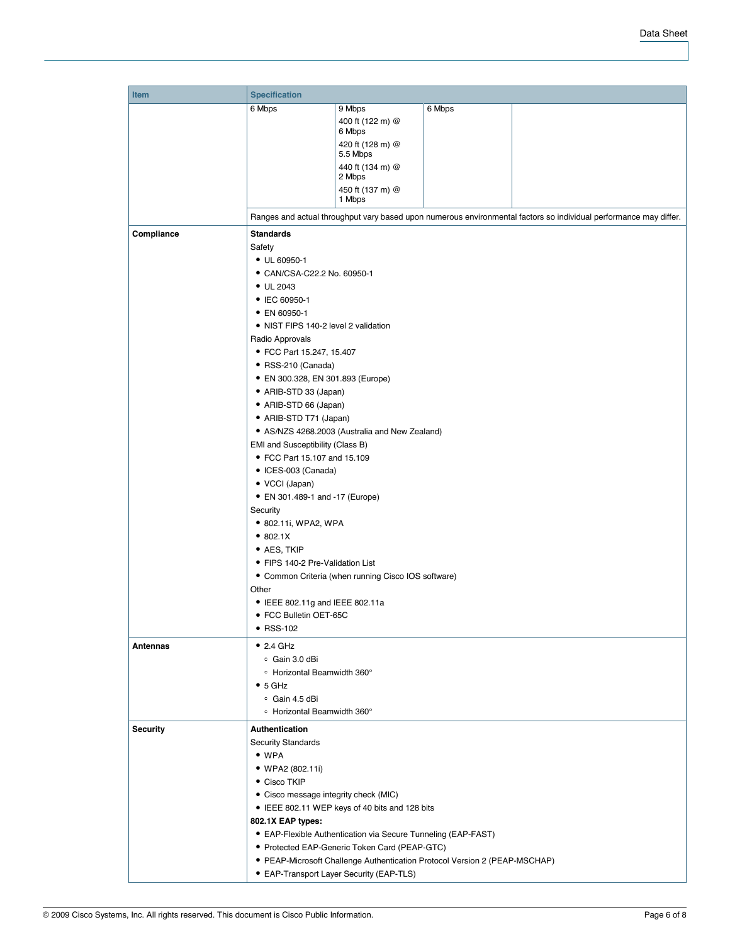| Item                          | <b>Specification</b>                                                                                                                                                                                              |                                          |        |                                                                                                                   |  |  |  |  |
|-------------------------------|-------------------------------------------------------------------------------------------------------------------------------------------------------------------------------------------------------------------|------------------------------------------|--------|-------------------------------------------------------------------------------------------------------------------|--|--|--|--|
|                               | 6 Mbps                                                                                                                                                                                                            | 9 Mbps                                   | 6 Mbps |                                                                                                                   |  |  |  |  |
|                               |                                                                                                                                                                                                                   | 400 ft (122 m) @                         |        |                                                                                                                   |  |  |  |  |
|                               |                                                                                                                                                                                                                   | 6 Mbps                                   |        |                                                                                                                   |  |  |  |  |
|                               |                                                                                                                                                                                                                   | 420 ft (128 m) @                         |        |                                                                                                                   |  |  |  |  |
|                               |                                                                                                                                                                                                                   | 5.5 Mbps                                 |        |                                                                                                                   |  |  |  |  |
|                               |                                                                                                                                                                                                                   | 440 ft (134 m) @<br>2 Mbps               |        |                                                                                                                   |  |  |  |  |
|                               |                                                                                                                                                                                                                   | 450 ft (137 m) @                         |        |                                                                                                                   |  |  |  |  |
|                               |                                                                                                                                                                                                                   | 1 Mbps                                   |        |                                                                                                                   |  |  |  |  |
|                               |                                                                                                                                                                                                                   |                                          |        | Ranges and actual throughput vary based upon numerous environmental factors so individual performance may differ. |  |  |  |  |
|                               |                                                                                                                                                                                                                   |                                          |        |                                                                                                                   |  |  |  |  |
| Compliance                    | <b>Standards</b>                                                                                                                                                                                                  |                                          |        |                                                                                                                   |  |  |  |  |
|                               | Safety                                                                                                                                                                                                            |                                          |        |                                                                                                                   |  |  |  |  |
|                               | $\bullet$ UL 60950-1                                                                                                                                                                                              |                                          |        |                                                                                                                   |  |  |  |  |
|                               | • CAN/CSA-C22.2 No. 60950-1<br>$\bullet$ UL 2043                                                                                                                                                                  |                                          |        |                                                                                                                   |  |  |  |  |
|                               | • IEC 60950-1                                                                                                                                                                                                     |                                          |        |                                                                                                                   |  |  |  |  |
|                               | • EN 60950-1                                                                                                                                                                                                      |                                          |        |                                                                                                                   |  |  |  |  |
|                               | • NIST FIPS 140-2 level 2 validation                                                                                                                                                                              |                                          |        |                                                                                                                   |  |  |  |  |
|                               |                                                                                                                                                                                                                   |                                          |        |                                                                                                                   |  |  |  |  |
|                               | Radio Approvals<br>• FCC Part 15.247, 15.407                                                                                                                                                                      |                                          |        |                                                                                                                   |  |  |  |  |
|                               | • RSS-210 (Canada)                                                                                                                                                                                                |                                          |        |                                                                                                                   |  |  |  |  |
|                               | • EN 300.328, EN 301.893 (Europe)                                                                                                                                                                                 |                                          |        |                                                                                                                   |  |  |  |  |
|                               | • ARIB-STD 33 (Japan)                                                                                                                                                                                             |                                          |        |                                                                                                                   |  |  |  |  |
|                               |                                                                                                                                                                                                                   |                                          |        |                                                                                                                   |  |  |  |  |
|                               | • ARIB-STD 66 (Japan)<br>• ARIB-STD T71 (Japan)                                                                                                                                                                   |                                          |        |                                                                                                                   |  |  |  |  |
|                               |                                                                                                                                                                                                                   |                                          |        |                                                                                                                   |  |  |  |  |
|                               | • AS/NZS 4268.2003 (Australia and New Zealand)<br>EMI and Susceptibility (Class B)<br>• FCC Part 15.107 and 15.109<br>• ICES-003 (Canada)<br>• VCCI (Japan)<br>• EN 301.489-1 and -17 (Europe)<br>Security        |                                          |        |                                                                                                                   |  |  |  |  |
|                               |                                                                                                                                                                                                                   |                                          |        |                                                                                                                   |  |  |  |  |
|                               |                                                                                                                                                                                                                   |                                          |        |                                                                                                                   |  |  |  |  |
|                               |                                                                                                                                                                                                                   |                                          |        |                                                                                                                   |  |  |  |  |
|                               |                                                                                                                                                                                                                   |                                          |        |                                                                                                                   |  |  |  |  |
|                               |                                                                                                                                                                                                                   |                                          |        |                                                                                                                   |  |  |  |  |
|                               | • 802.11i, WPA2, WPA<br>• 802.1X                                                                                                                                                                                  |                                          |        |                                                                                                                   |  |  |  |  |
|                               |                                                                                                                                                                                                                   |                                          |        |                                                                                                                   |  |  |  |  |
|                               | • AES, TKIP<br>• FIPS 140-2 Pre-Validation List<br>• Common Criteria (when running Cisco IOS software)                                                                                                            |                                          |        |                                                                                                                   |  |  |  |  |
|                               |                                                                                                                                                                                                                   |                                          |        |                                                                                                                   |  |  |  |  |
|                               |                                                                                                                                                                                                                   |                                          |        |                                                                                                                   |  |  |  |  |
|                               | Other<br>• IEEE 802.11g and IEEE 802.11a<br>• FCC Bulletin OET-65C                                                                                                                                                |                                          |        |                                                                                                                   |  |  |  |  |
|                               |                                                                                                                                                                                                                   |                                          |        |                                                                                                                   |  |  |  |  |
|                               |                                                                                                                                                                                                                   |                                          |        |                                                                                                                   |  |  |  |  |
|                               | • RSS-102                                                                                                                                                                                                         |                                          |        |                                                                                                                   |  |  |  |  |
|                               |                                                                                                                                                                                                                   |                                          |        |                                                                                                                   |  |  |  |  |
| Antennas<br>$\bullet$ 2.4 GHz |                                                                                                                                                                                                                   |                                          |        |                                                                                                                   |  |  |  |  |
|                               | <sup>o</sup> Gain 3.0 dBi<br>• Horizontal Beamwidth 360°<br>$\bullet$ 5 GHz                                                                                                                                       |                                          |        |                                                                                                                   |  |  |  |  |
|                               |                                                                                                                                                                                                                   |                                          |        |                                                                                                                   |  |  |  |  |
|                               |                                                                                                                                                                                                                   |                                          |        |                                                                                                                   |  |  |  |  |
|                               | ∘ Gain 4.5 dBi<br>• Horizontal Beamwidth 360°                                                                                                                                                                     |                                          |        |                                                                                                                   |  |  |  |  |
|                               | Authentication                                                                                                                                                                                                    |                                          |        |                                                                                                                   |  |  |  |  |
| <b>Security</b>               |                                                                                                                                                                                                                   |                                          |        |                                                                                                                   |  |  |  |  |
| <b>Security Standards</b>     |                                                                                                                                                                                                                   |                                          |        |                                                                                                                   |  |  |  |  |
|                               | $\bullet$ WPA                                                                                                                                                                                                     |                                          |        |                                                                                                                   |  |  |  |  |
|                               | • WPA2 (802.11i)                                                                                                                                                                                                  |                                          |        |                                                                                                                   |  |  |  |  |
|                               | • Cisco TKIP<br>• Cisco message integrity check (MIC)                                                                                                                                                             |                                          |        |                                                                                                                   |  |  |  |  |
|                               |                                                                                                                                                                                                                   |                                          |        |                                                                                                                   |  |  |  |  |
|                               | • IEEE 802.11 WEP keys of 40 bits and 128 bits                                                                                                                                                                    |                                          |        |                                                                                                                   |  |  |  |  |
|                               | 802.1X EAP types:<br>• EAP-Flexible Authentication via Secure Tunneling (EAP-FAST)<br>• Protected EAP-Generic Token Card (PEAP-GTC)<br>• PEAP-Microsoft Challenge Authentication Protocol Version 2 (PEAP-MSCHAP) |                                          |        |                                                                                                                   |  |  |  |  |
|                               |                                                                                                                                                                                                                   |                                          |        |                                                                                                                   |  |  |  |  |
|                               |                                                                                                                                                                                                                   |                                          |        |                                                                                                                   |  |  |  |  |
|                               |                                                                                                                                                                                                                   |                                          |        |                                                                                                                   |  |  |  |  |
|                               |                                                                                                                                                                                                                   | • EAP-Transport Layer Security (EAP-TLS) |        |                                                                                                                   |  |  |  |  |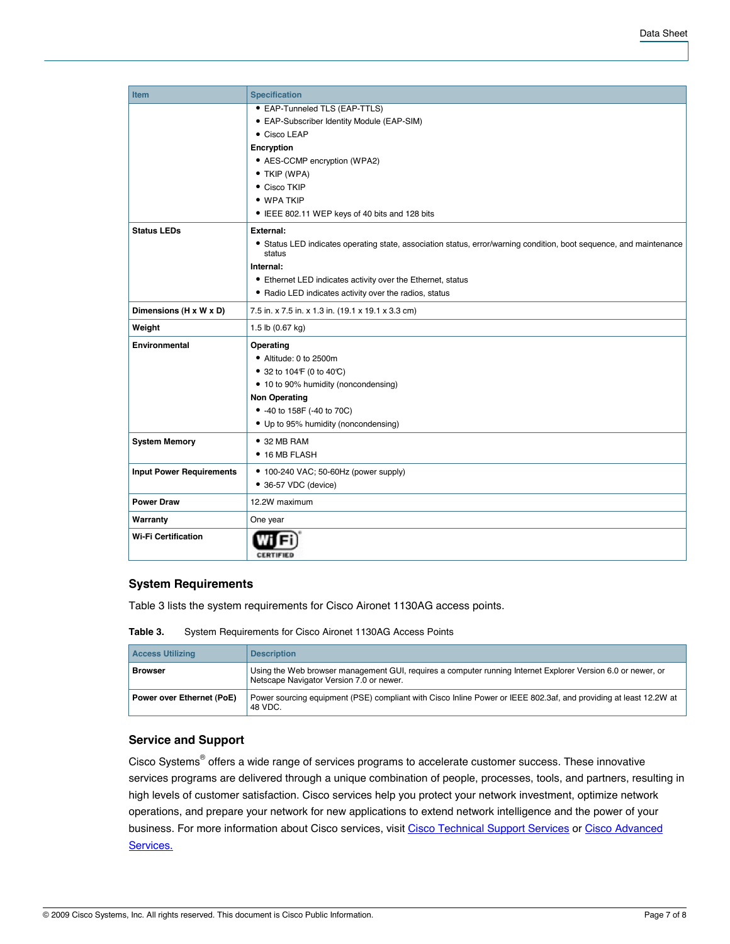| <b>Item</b>                     | <b>Specification</b>                                                                                                          |  |  |  |  |  |
|---------------------------------|-------------------------------------------------------------------------------------------------------------------------------|--|--|--|--|--|
|                                 | • EAP-Tunneled TLS (EAP-TTLS)                                                                                                 |  |  |  |  |  |
|                                 | • EAP-Subscriber Identity Module (EAP-SIM)                                                                                    |  |  |  |  |  |
|                                 | • Cisco LEAP                                                                                                                  |  |  |  |  |  |
|                                 | Encryption                                                                                                                    |  |  |  |  |  |
|                                 | • AES-CCMP encryption (WPA2)                                                                                                  |  |  |  |  |  |
|                                 | • TKIP (WPA)                                                                                                                  |  |  |  |  |  |
|                                 | • Cisco TKIP                                                                                                                  |  |  |  |  |  |
|                                 | • WPA TKIP                                                                                                                    |  |  |  |  |  |
|                                 | • IEEE 802.11 WEP keys of 40 bits and 128 bits                                                                                |  |  |  |  |  |
| <b>Status LEDs</b>              | External:                                                                                                                     |  |  |  |  |  |
|                                 | • Status LED indicates operating state, association status, error/warning condition, boot sequence, and maintenance<br>status |  |  |  |  |  |
|                                 | Internal:                                                                                                                     |  |  |  |  |  |
|                                 | • Ethernet LED indicates activity over the Ethernet, status                                                                   |  |  |  |  |  |
|                                 | • Radio LED indicates activity over the radios, status                                                                        |  |  |  |  |  |
| Dimensions (H x W x D)          | 7.5 in. x 7.5 in. x 1.3 in. (19.1 x 19.1 x 3.3 cm)                                                                            |  |  |  |  |  |
| Weight                          | 1.5 lb (0.67 kg)                                                                                                              |  |  |  |  |  |
| <b>Environmental</b>            | Operating                                                                                                                     |  |  |  |  |  |
|                                 | • Altitude: 0 to 2500m                                                                                                        |  |  |  |  |  |
|                                 | • 32 to 104 F (0 to 40 °C)                                                                                                    |  |  |  |  |  |
|                                 | • 10 to 90% humidity (noncondensing)                                                                                          |  |  |  |  |  |
|                                 | <b>Non Operating</b>                                                                                                          |  |  |  |  |  |
|                                 | • -40 to 158F (-40 to 70C)                                                                                                    |  |  |  |  |  |
|                                 | • Up to 95% humidity (noncondensing)                                                                                          |  |  |  |  |  |
| <b>System Memory</b>            | $\bullet$ 32 MB RAM                                                                                                           |  |  |  |  |  |
|                                 | • 16 MB FLASH                                                                                                                 |  |  |  |  |  |
| <b>Input Power Requirements</b> | • 100-240 VAC; 50-60Hz (power supply)                                                                                         |  |  |  |  |  |
|                                 | • 36-57 VDC (device)                                                                                                          |  |  |  |  |  |
| <b>Power Draw</b>               | 12.2W maximum                                                                                                                 |  |  |  |  |  |
| Warranty                        | One year                                                                                                                      |  |  |  |  |  |
| <b>Wi-Fi Certification</b>      |                                                                                                                               |  |  |  |  |  |

## **System Requirements**

Table 3 lists the system requirements for Cisco Aironet 1130AG access points.

**Table 3.** System Requirements for Cisco Aironet 1130AG Access Points

|                                      | <b>Access Utilizing</b> | <b>Description</b>                                                                                                                                       |
|--------------------------------------|-------------------------|----------------------------------------------------------------------------------------------------------------------------------------------------------|
|                                      | <b>Browser</b>          | Using the Web browser management GUI, requires a computer running Internet Explorer Version 6.0 or newer, or<br>Netscape Navigator Version 7.0 or newer. |
| Power over Ethernet (PoE)<br>48 VDC. |                         | Power sourcing equipment (PSE) compliant with Cisco Inline Power or IEEE 802.3af, and providing at least 12.2W at                                        |

# **Service and Support**

Cisco Systems<sup>®</sup> offers a wide range of services programs to accelerate customer success. These innovative services programs are delivered through a unique combination of people, processes, tools, and partners, resulting in high levels of customer satisfaction. Cisco services help you protect your network investment, optimize network operations, and prepare your network for new applications to extend network intelligence and the power of your business. For more information about Cisco services, visit [Cisco Technical Support Services](http://www.cisco.com/en/US/products/svcs/ps3034/ps2827/serv_category_home.html) or [Cisco Advanced](http://www.cisco.com/go/services) [Services.](http://www.cisco.com/go/services)